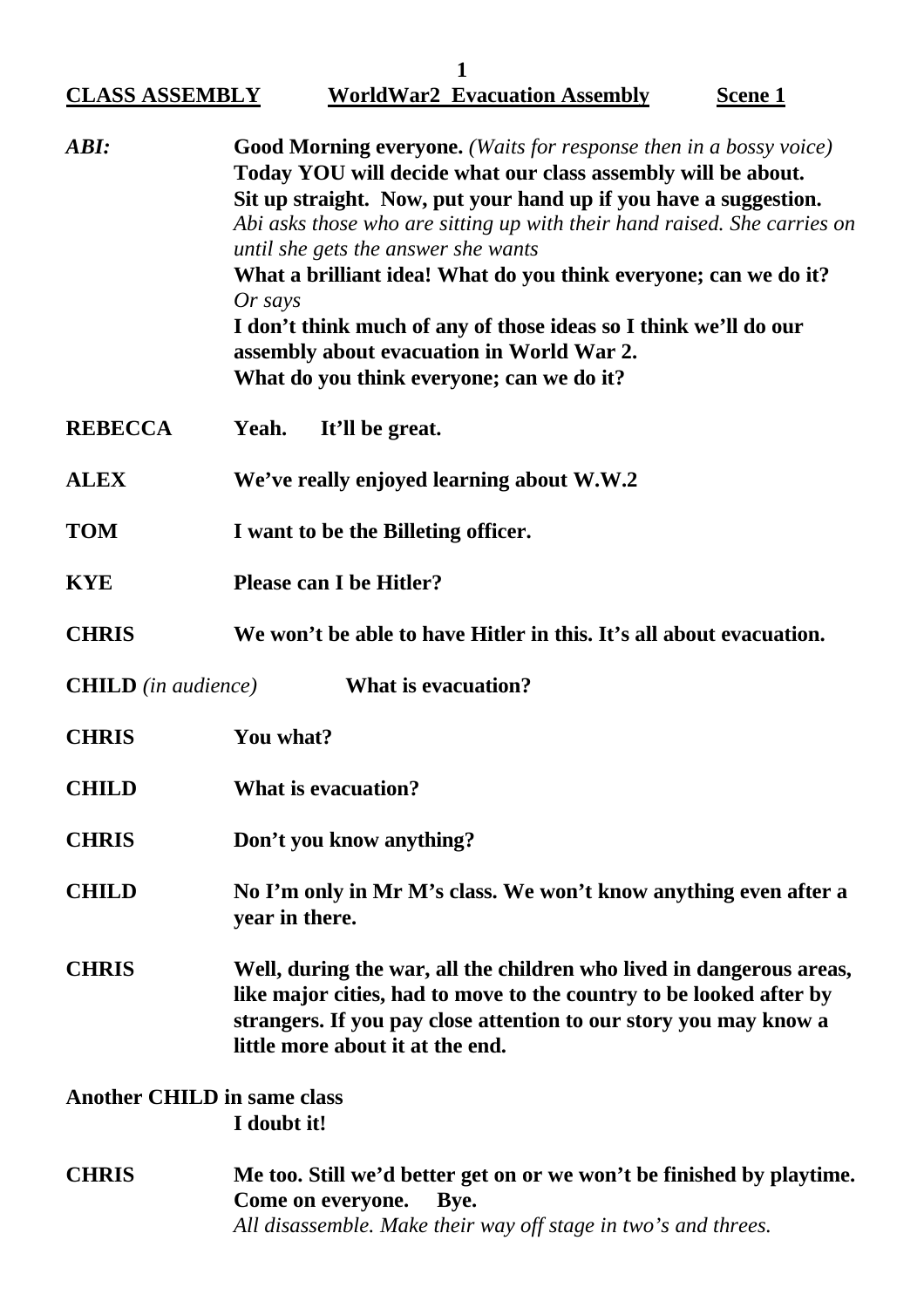|                                    | 1                                                                                                                                                                                                                                                                                                                                                                                                                                                                                                                                                                              |  |
|------------------------------------|--------------------------------------------------------------------------------------------------------------------------------------------------------------------------------------------------------------------------------------------------------------------------------------------------------------------------------------------------------------------------------------------------------------------------------------------------------------------------------------------------------------------------------------------------------------------------------|--|
| <b>CLASS ASSEMBLY</b>              | <b>WorldWar2 Evacuation Assembly</b><br><b>Scene 1</b>                                                                                                                                                                                                                                                                                                                                                                                                                                                                                                                         |  |
| ABI:                               | <b>Good Morning everyone.</b> (Waits for response then in a bossy voice)<br>Today YOU will decide what our class assembly will be about.<br>Sit up straight. Now, put your hand up if you have a suggestion.<br>Abi asks those who are sitting up with their hand raised. She carries on<br>until she gets the answer she wants<br>What a brilliant idea! What do you think everyone; can we do it?<br>$Or$ says<br>I don't think much of any of those ideas so I think we'll do our<br>assembly about evacuation in World War 2.<br>What do you think everyone; can we do it? |  |
| <b>REBECCA</b>                     | Yeah.<br>It'll be great.                                                                                                                                                                                                                                                                                                                                                                                                                                                                                                                                                       |  |
| <b>ALEX</b>                        | We've really enjoyed learning about W.W.2                                                                                                                                                                                                                                                                                                                                                                                                                                                                                                                                      |  |
| <b>TOM</b>                         | I want to be the Billeting officer.                                                                                                                                                                                                                                                                                                                                                                                                                                                                                                                                            |  |
| <b>KYE</b>                         | <b>Please can I be Hitler?</b>                                                                                                                                                                                                                                                                                                                                                                                                                                                                                                                                                 |  |
| <b>CHRIS</b>                       | We won't be able to have Hitler in this. It's all about evacuation.                                                                                                                                                                                                                                                                                                                                                                                                                                                                                                            |  |
| <b>CHILD</b> (in audience)         | <b>What is evacuation?</b>                                                                                                                                                                                                                                                                                                                                                                                                                                                                                                                                                     |  |
| <b>CHRIS</b>                       | You what?                                                                                                                                                                                                                                                                                                                                                                                                                                                                                                                                                                      |  |
| <b>CHILD</b>                       | <b>What is evacuation?</b>                                                                                                                                                                                                                                                                                                                                                                                                                                                                                                                                                     |  |
| <b>CHRIS</b>                       | Don't you know anything?                                                                                                                                                                                                                                                                                                                                                                                                                                                                                                                                                       |  |
| <b>CHILD</b>                       | No I'm only in Mr M's class. We won't know anything even after a<br>year in there.                                                                                                                                                                                                                                                                                                                                                                                                                                                                                             |  |
| <b>CHRIS</b>                       | Well, during the war, all the children who lived in dangerous areas,<br>like major cities, had to move to the country to be looked after by<br>strangers. If you pay close attention to our story you may know a<br>little more about it at the end.                                                                                                                                                                                                                                                                                                                           |  |
| <b>Another CHILD in same class</b> | I doubt it!                                                                                                                                                                                                                                                                                                                                                                                                                                                                                                                                                                    |  |
| <b>CHRIS</b>                       | Me too. Still we'd better get on or we won't be finished by playtime.<br>Come on everyone.<br>Bye.<br>All disassemble. Make their way off stage in two's and threes.                                                                                                                                                                                                                                                                                                                                                                                                           |  |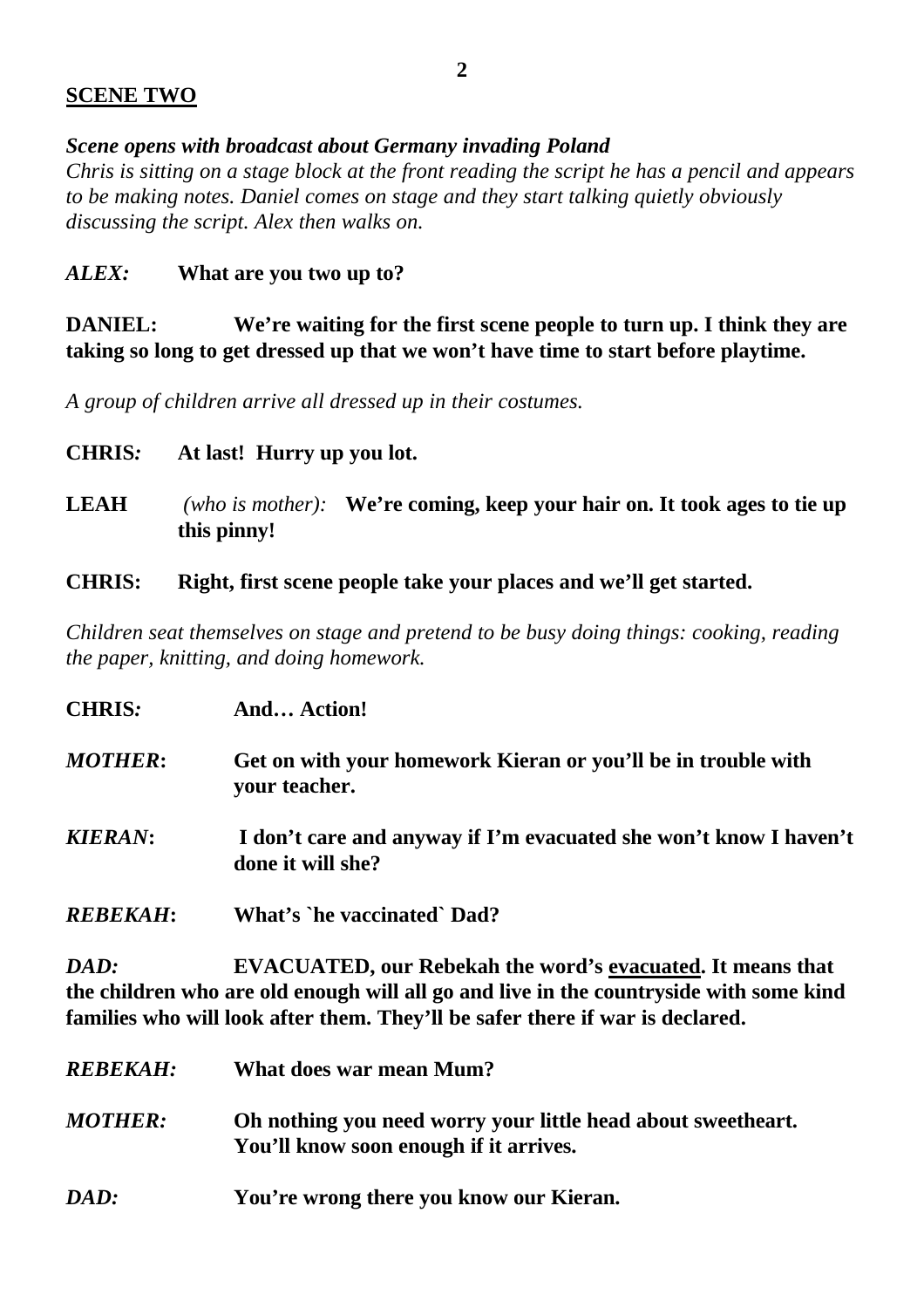## **SCENE TWO**

*Scene opens with broadcast about Germany invading Poland*

*Chris is sitting on a stage block at the front reading the script he has a pencil and appears to be making notes. Daniel comes on stage and they start talking quietly obviously discussing the script. Alex then walks on.*

# *ALEX:* **What are you two up to?**

**DANIEL: We're waiting for the first scene people to turn up. I think they are taking so long to get dressed up that we won't have time to start before playtime.**

*A group of children arrive all dressed up in their costumes.*

- **CHRIS***:* **At last! Hurry up you lot. LEAH** *(who is mother):* **We're coming, keep your hair on. It took ages to tie up this pinny!**
- **CHRIS: Right, first scene people take your places and we'll get started.**

*Children seat themselves on stage and pretend to be busy doing things: cooking, reading the paper, knitting, and doing homework.*

| <b>CHRIS:</b>    | And Action!                                                                            |
|------------------|----------------------------------------------------------------------------------------|
| MOTHER:          | Get on with your homework Kieran or you'll be in trouble with<br>your teacher.         |
| KIERAN:          | I don't care and anyway if I'm evacuated she won't know I haven't<br>done it will she? |
| <i>REBEKAH</i> : | What's `he vaccinated` Dad?                                                            |

*DAD:* **EVACUATED, our Rebekah the word's evacuated. It means that the children who are old enough will all go and live in the countryside with some kind families who will look after them. They'll be safer there if war is declared.**

| <i><b>REBEKAH:</b></i> | What does war mean Mum?                                                                                |
|------------------------|--------------------------------------------------------------------------------------------------------|
| <i>MOTHER:</i>         | Oh nothing you need worry your little head about sweetheart.<br>You'll know soon enough if it arrives. |
| DAD:                   | You're wrong there you know our Kieran.                                                                |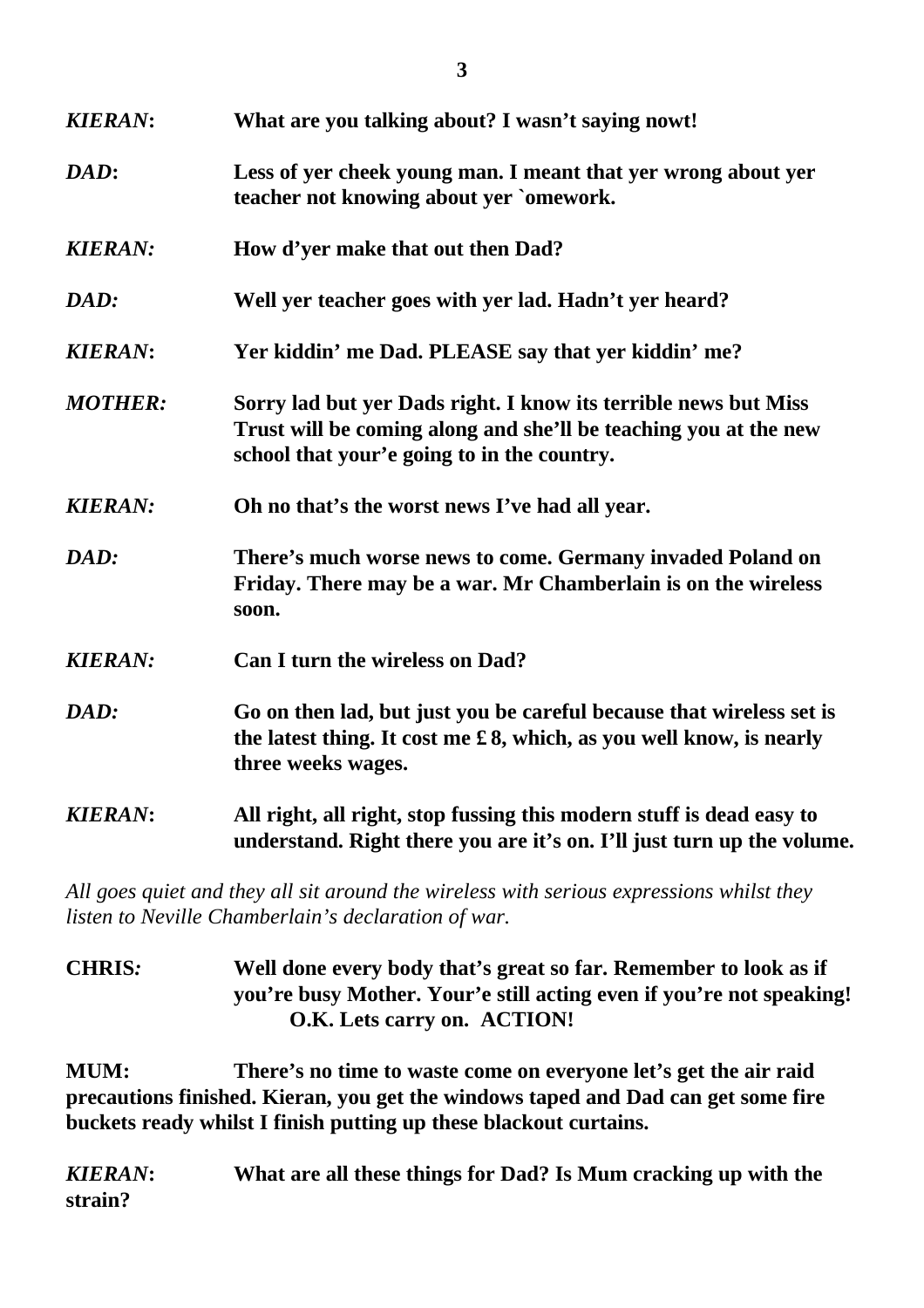| <b>KIERAN:</b> | What are you talking about? I wasn't saying nowt!                                                                                                                                  |
|----------------|------------------------------------------------------------------------------------------------------------------------------------------------------------------------------------|
| DAD:           | Less of yer cheek young man. I meant that yer wrong about yer<br>teacher not knowing about yer `omework.                                                                           |
| <b>KIERAN:</b> | How d'yer make that out then Dad?                                                                                                                                                  |
| DAD:           | Well yer teacher goes with yer lad. Hadn't yer heard?                                                                                                                              |
| <b>KIERAN:</b> | Yer kiddin' me Dad. PLEASE say that yer kiddin' me?                                                                                                                                |
| <b>MOTHER:</b> | Sorry lad but yer Dads right. I know its terrible news but Miss<br>Trust will be coming along and she'll be teaching you at the new<br>school that your'e going to in the country. |
| <b>KIERAN:</b> | Oh no that's the worst news I've had all year.                                                                                                                                     |
| DAD:           | There's much worse news to come. Germany invaded Poland on<br>Friday. There may be a war. Mr Chamberlain is on the wireless<br>soon.                                               |
| <b>KIERAN:</b> | Can I turn the wireless on Dad?                                                                                                                                                    |
| DAD:           | Go on then lad, but just you be careful because that wireless set is<br>the latest thing. It cost me £8, which, as you well know, is nearly<br>three weeks wages.                  |
| <b>KIERAN:</b> | All right, all right, stop fussing this modern stuff is dead easy to<br>understand. Right there you are it's on. I'll just turn up the volume.                                     |

*All goes quiet and they all sit around the wireless with serious expressions whilst they listen to Neville Chamberlain's declaration of war.*

**CHRIS***:* **Well done every body that's great so far. Remember to look as if you're busy Mother. Your'e still acting even if you're not speaking! O.K. Lets carry on. ACTION!**

**MUM: There's no time to waste come on everyone let's get the air raid precautions finished. Kieran, you get the windows taped and Dad can get some fire buckets ready whilst I finish putting up these blackout curtains.**

*KIERAN***: What are all these things for Dad? Is Mum cracking up with the strain?**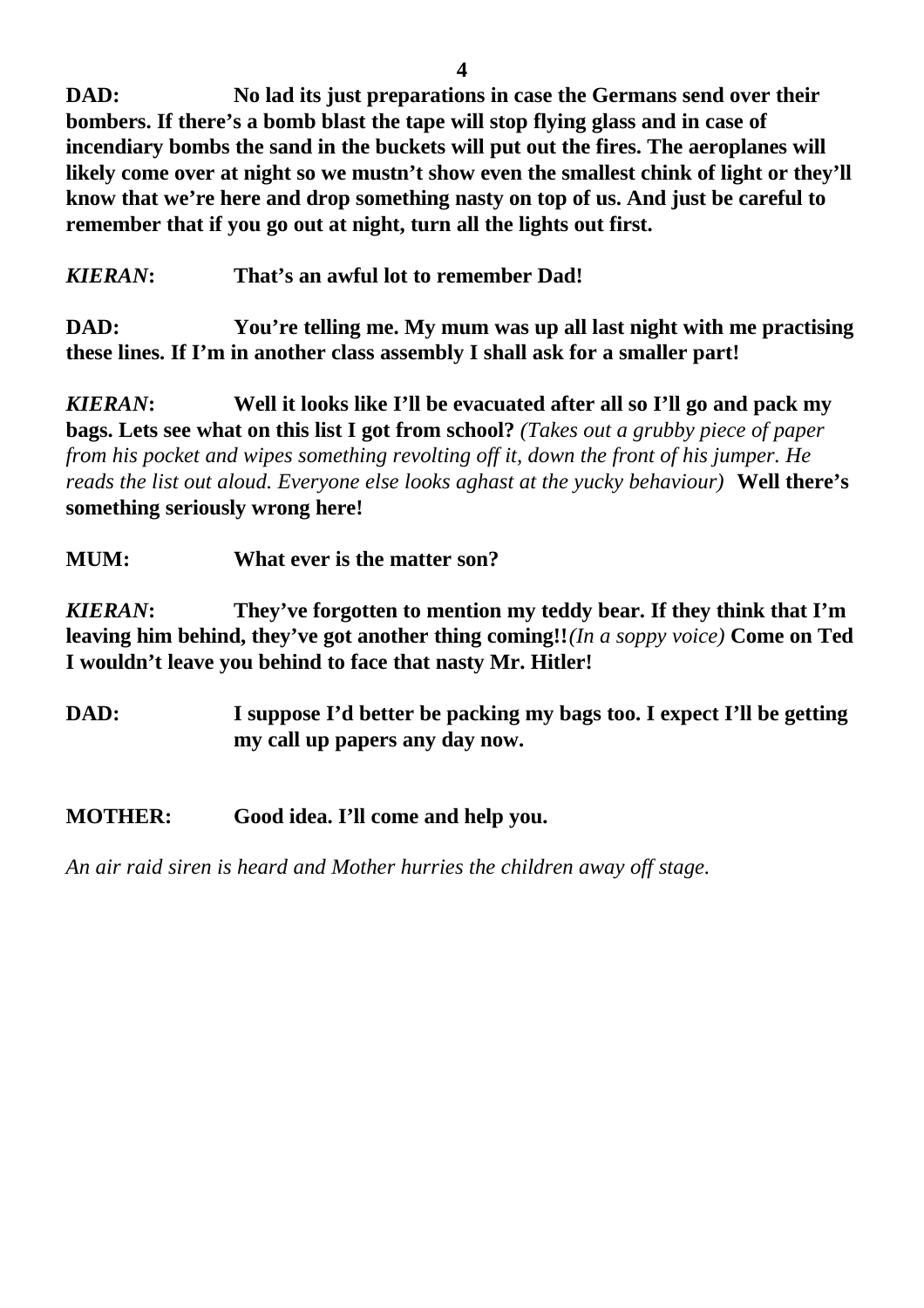**DAD: No lad its just preparations in case the Germans send over their bombers. If there's a bomb blast the tape will stop flying glass and in case of incendiary bombs the sand in the buckets will put out the fires. The aeroplanes will likely come over at night so we mustn't show even the smallest chink of light or they'll know that we're here and drop something nasty on top of us. And just be careful to remember that if you go out at night, turn all the lights out first.**

*KIERAN***: That's an awful lot to remember Dad!**

**DAD: You're telling me. My mum was up all last night with me practising these lines. If I'm in another class assembly I shall ask for a smaller part!**

*KIERAN***: Well it looks like I'll be evacuated after all so I'll go and pack my bags. Lets see what on this list I got from school?** *(Takes out a grubby piece of paper from his pocket and wipes something revolting off it, down the front of his jumper. He reads the list out aloud. Everyone else looks aghast at the yucky behaviour)* **Well there's something seriously wrong here!**

# **MUM: What ever is the matter son?**

*KIERAN***: They've forgotten to mention my teddy bear. If they think that I'm leaving him behind, they've got another thing coming!!***(In a soppy voice)* **Come on Ted I wouldn't leave you behind to face that nasty Mr. Hitler!**

- **DAD: I suppose I'd better be packing my bags too. I expect I'll be getting my call up papers any day now.**
- **MOTHER: Good idea. I'll come and help you.**

*An air raid siren is heard and Mother hurries the children away off stage.*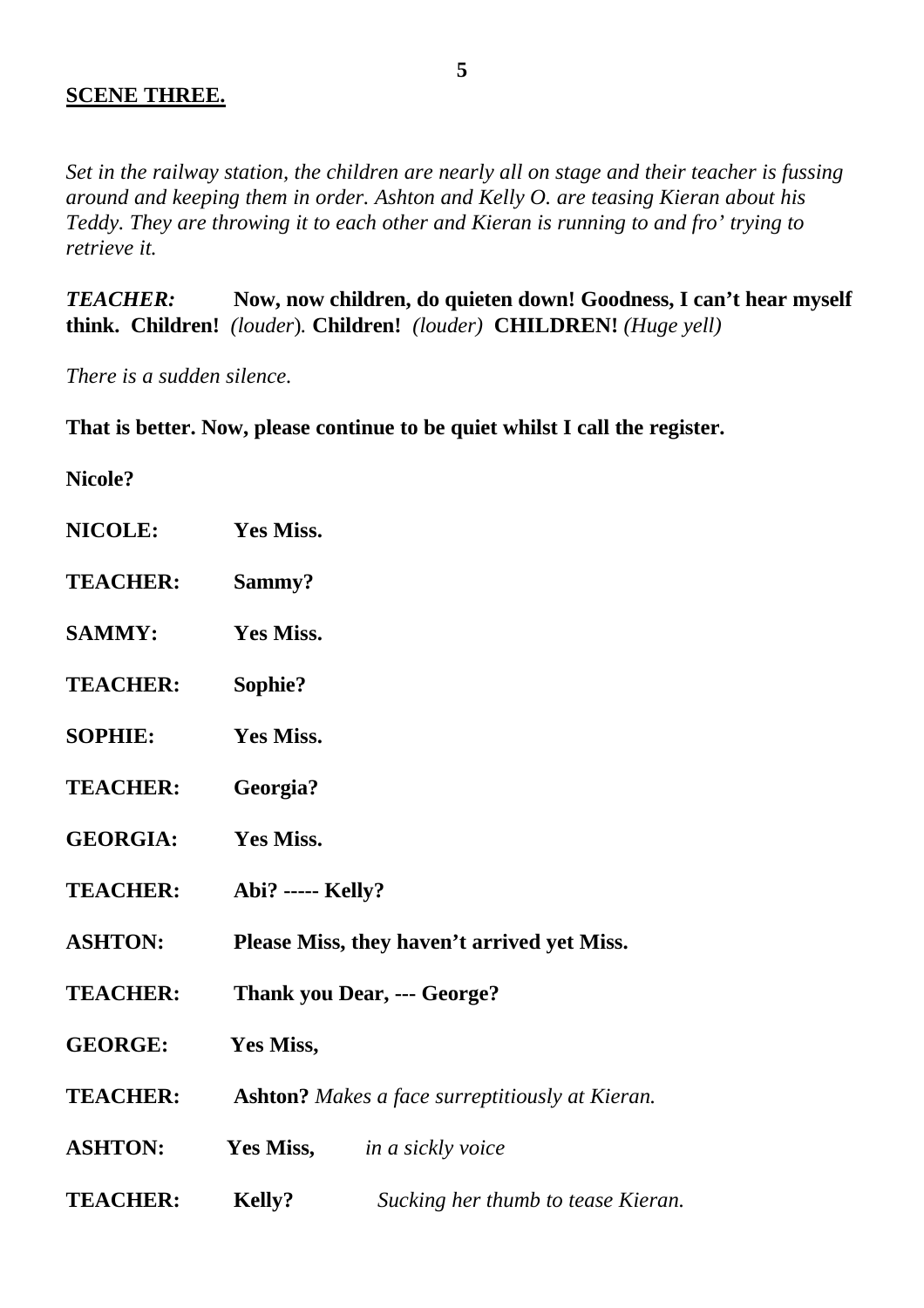### **SCENE THREE.**

*Set in the railway station, the children are nearly all on stage and their teacher is fussing around and keeping them in order. Ashton and Kelly O. are teasing Kieran about his Teddy. They are throwing it to each other and Kieran is running to and fro' trying to retrieve it.*

*TEACHER:* **Now, now children, do quieten down! Goodness, I can't hear myself think. Children!** *(louder*)*.* **Children!** *(louder)* **CHILDREN!** *(Huge yell)*

*There is a sudden silence.*

**That is better. Now, please continue to be quiet whilst I call the register.**

#### **Nicole?**

| <b>NICOLE:</b>  | <b>Yes Miss.</b>                                       |
|-----------------|--------------------------------------------------------|
| <b>TEACHER:</b> | Sammy?                                                 |
| <b>SAMMY:</b>   | Yes Miss.                                              |
| <b>TEACHER:</b> | Sophie?                                                |
| <b>SOPHIE:</b>  | Yes Miss.                                              |
| <b>TEACHER:</b> | Georgia?                                               |
| <b>GEORGIA:</b> | <b>Yes Miss.</b>                                       |
| <b>TEACHER:</b> | <b>Abi?</b> ----- Kelly?                               |
| <b>ASHTON:</b>  | Please Miss, they haven't arrived yet Miss.            |
| <b>TEACHER:</b> | Thank you Dear, --- George?                            |
| <b>GEORGE:</b>  | Yes Miss,                                              |
| <b>TEACHER:</b> | <b>Ashton?</b> Makes a face surreptitiously at Kieran. |
| <b>ASHTON:</b>  | <b>Yes Miss,</b> <i>in a sickly voice</i>              |
| <b>TEACHER:</b> | Kelly?<br>Sucking her thumb to tease Kieran.           |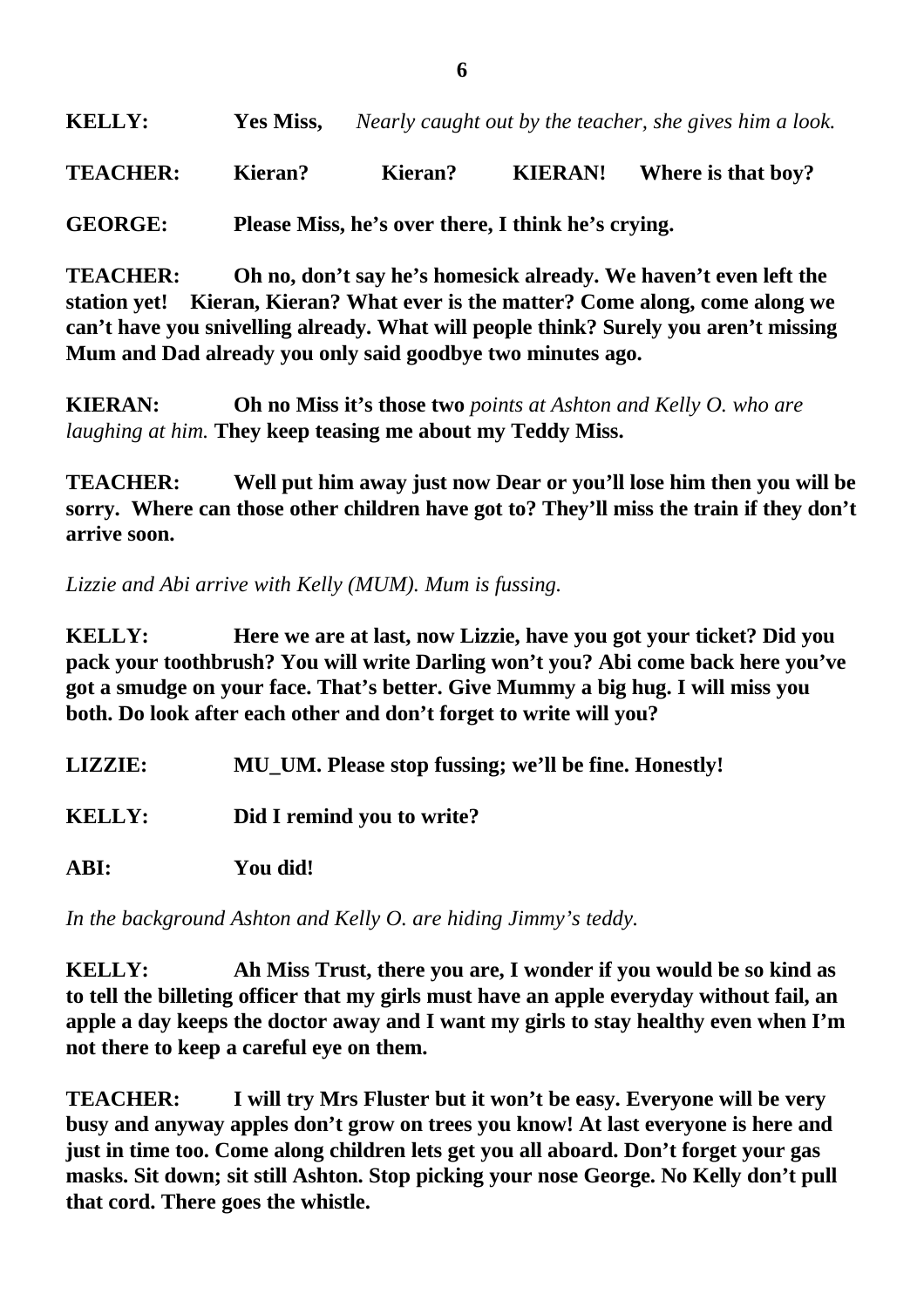| <b>KELLY:</b><br>Yes Miss, |  | Nearly caught out by the teacher, she gives him a look. |
|----------------------------|--|---------------------------------------------------------|
|----------------------------|--|---------------------------------------------------------|

**TEACHER: Kieran? Kieran? KIERAN! Where is that boy?**

**GEORGE: Please Miss, he's over there, I think he's crying.**

**TEACHER: Oh no, don't say he's homesick already. We haven't even left the station yet! Kieran, Kieran? What ever is the matter? Come along, come along we can't have you snivelling already. What will people think? Surely you aren't missing Mum and Dad already you only said goodbye two minutes ago.**

**KIERAN: Oh no Miss it's those two** *points at Ashton and Kelly O. who are laughing at him.* **They keep teasing me about my Teddy Miss.**

**TEACHER: Well put him away just now Dear or you'll lose him then you will be sorry. Where can those other children have got to? They'll miss the train if they don't arrive soon.**

*Lizzie and Abi arrive with Kelly (MUM). Mum is fussing.*

**KELLY: Here we are at last, now Lizzie, have you got your ticket? Did you pack your toothbrush? You will write Darling won't you? Abi come back here you've got a smudge on your face. That's better. Give Mummy a big hug. I will miss you both. Do look after each other and don't forget to write will you?**

| <b>LIZZIE:</b> | MU_UM. Please stop fussing; we'll be fine. Honestly! |
|----------------|------------------------------------------------------|
| <b>KELLY:</b>  | Did I remind you to write?                           |
| ABI:           | You did!                                             |

*In the background Ashton and Kelly O. are hiding Jimmy's teddy.*

**KELLY: Ah Miss Trust, there you are, I wonder if you would be so kind as to tell the billeting officer that my girls must have an apple everyday without fail, an apple a day keeps the doctor away and I want my girls to stay healthy even when I'm not there to keep a careful eye on them.**

**TEACHER: I will try Mrs Fluster but it won't be easy. Everyone will be very busy and anyway apples don't grow on trees you know! At last everyone is here and just in time too. Come along children lets get you all aboard. Don't forget your gas masks. Sit down; sit still Ashton. Stop picking your nose George. No Kelly don't pull that cord. There goes the whistle.**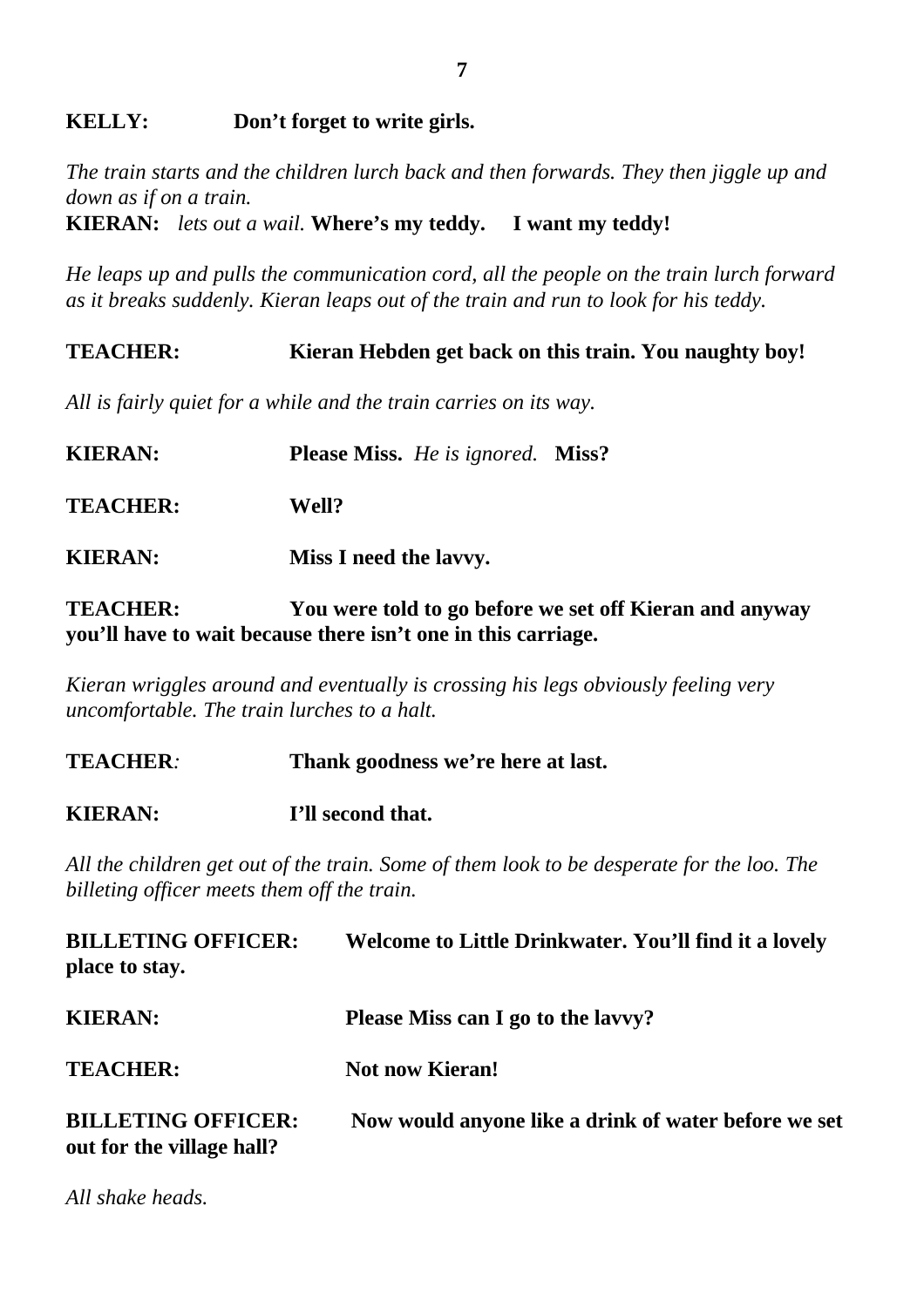# **KELLY: Don't forget to write girls.**

*The train starts and the children lurch back and then forwards. They then jiggle up and down as if on a train.* **KIERAN:** *lets out a wail.* **Where's my teddy. I want my teddy!**

*He leaps up and pulls the communication cord, all the people on the train lurch forward as it breaks suddenly. Kieran leaps out of the train and run to look for his teddy.*

**TEACHER: Kieran Hebden get back on this train. You naughty boy!** *All is fairly quiet for a while and the train carries on its way.* **KIERAN: Please Miss.** *He is ignored.* **Miss? TEACHER: Well? KIERAN: Miss I need the lavvy.**

**TEACHER: You were told to go before we set off Kieran and anyway you'll have to wait because there isn't one in this carriage.**

*Kieran wriggles around and eventually is crossing his legs obviously feeling very uncomfortable. The train lurches to a halt.*

**TEACHER***:* **Thank goodness we're here at last. KIERAN: I'll second that.**

*All the children get out of the train. Some of them look to be desperate for the loo. The billeting officer meets them off the train.*

| <b>BILLETING OFFICER:</b><br>place to stay.            | Welcome to Little Drinkwater. You'll find it a lovely |
|--------------------------------------------------------|-------------------------------------------------------|
| <b>KIERAN:</b>                                         | Please Miss can I go to the lavy?                     |
| <b>TEACHER:</b>                                        | <b>Not now Kieran!</b>                                |
| <b>BILLETING OFFICER:</b><br>out for the village hall? | Now would anyone like a drink of water before we set  |

*All shake heads.*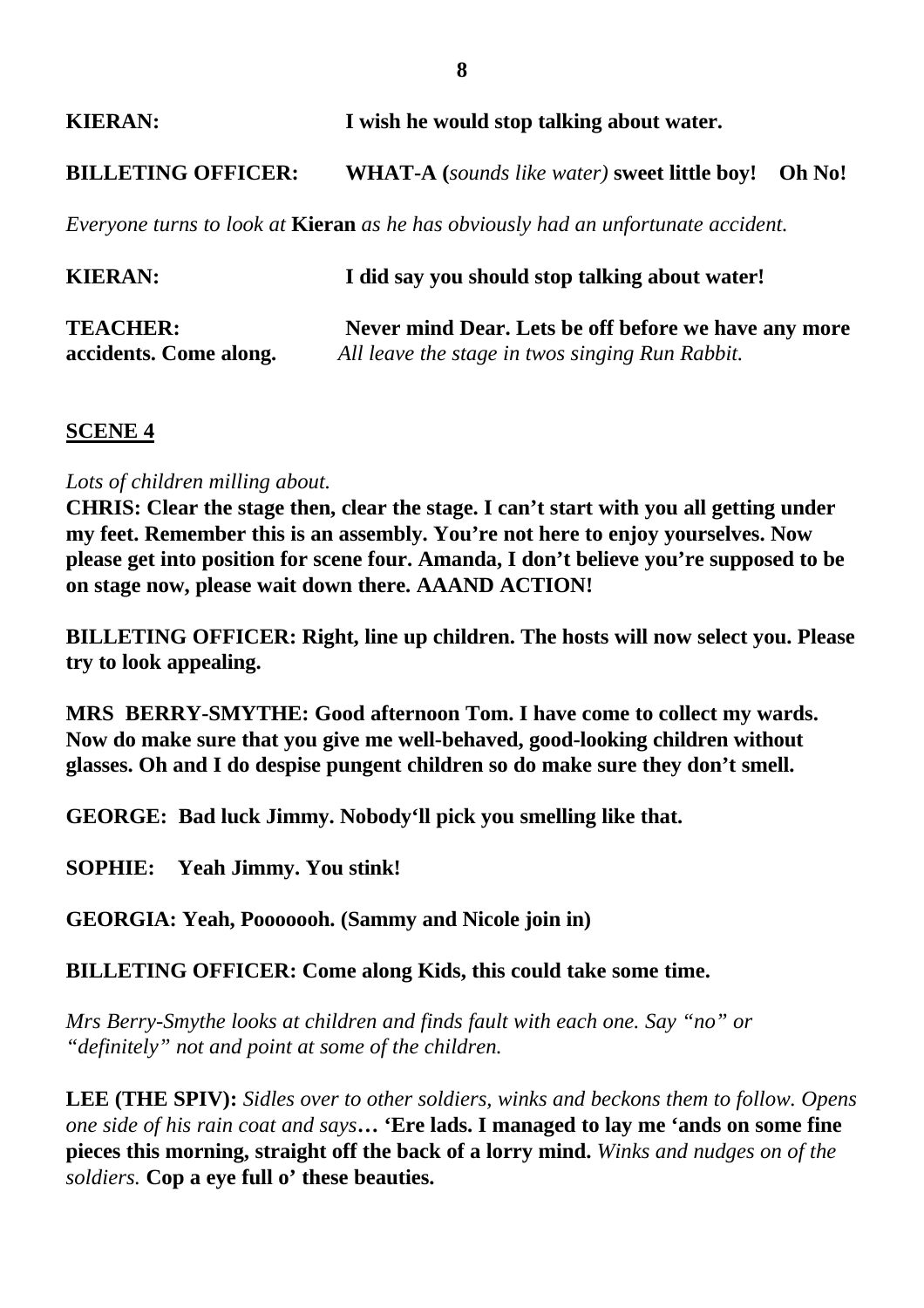| <b>KIERAN:</b>            | I wish he would stop talking about water.                                                |  |
|---------------------------|------------------------------------------------------------------------------------------|--|
| <b>BILLETING OFFICER:</b> | <b>WHAT-A</b> (sounds like water) sweet little boy! Oh No!                               |  |
|                           | Everyone turns to look at <b>Kieran</b> as he has obviously had an unfortunate accident. |  |

| <b>KIERAN:</b>         | I did say you should stop talking about water!       |
|------------------------|------------------------------------------------------|
| <b>TEACHER:</b>        | Never mind Dear. Lets be off before we have any more |
| accidents. Come along. | All leave the stage in twos singing Run Rabbit.      |

### **SCENE 4**

### *Lots of children milling about.*

**CHRIS: Clear the stage then, clear the stage. I can't start with you all getting under my feet. Remember this is an assembly. You're not here to enjoy yourselves. Now please get into position for scene four. Amanda, I don't believe you're supposed to be on stage now, please wait down there. AAAND ACTION!** 

**BILLETING OFFICER: Right, line up children. The hosts will now select you. Please try to look appealing.**

**MRS BERRY-SMYTHE: Good afternoon Tom. I have come to collect my wards. Now do make sure that you give me well-behaved, good-looking children without glasses. Oh and I do despise pungent children so do make sure they don't smell.**

**GEORGE: Bad luck Jimmy. Nobody'll pick you smelling like that.**

**SOPHIE: Yeah Jimmy. You stink!**

**GEORGIA: Yeah, Pooooooh. (Sammy and Nicole join in)** 

**BILLETING OFFICER: Come along Kids, this could take some time.**

*Mrs Berry-Smythe looks at children and finds fault with each one. Say "no" or "definitely" not and point at some of the children.*

**LEE (THE SPIV):** *Sidles over to other soldiers, winks and beckons them to follow. Opens one side of his rain coat and says***… 'Ere lads. I managed to lay me 'ands on some fine pieces this morning, straight off the back of a lorry mind.** *Winks and nudges on of the soldiers.* **Cop a eye full o' these beauties.**